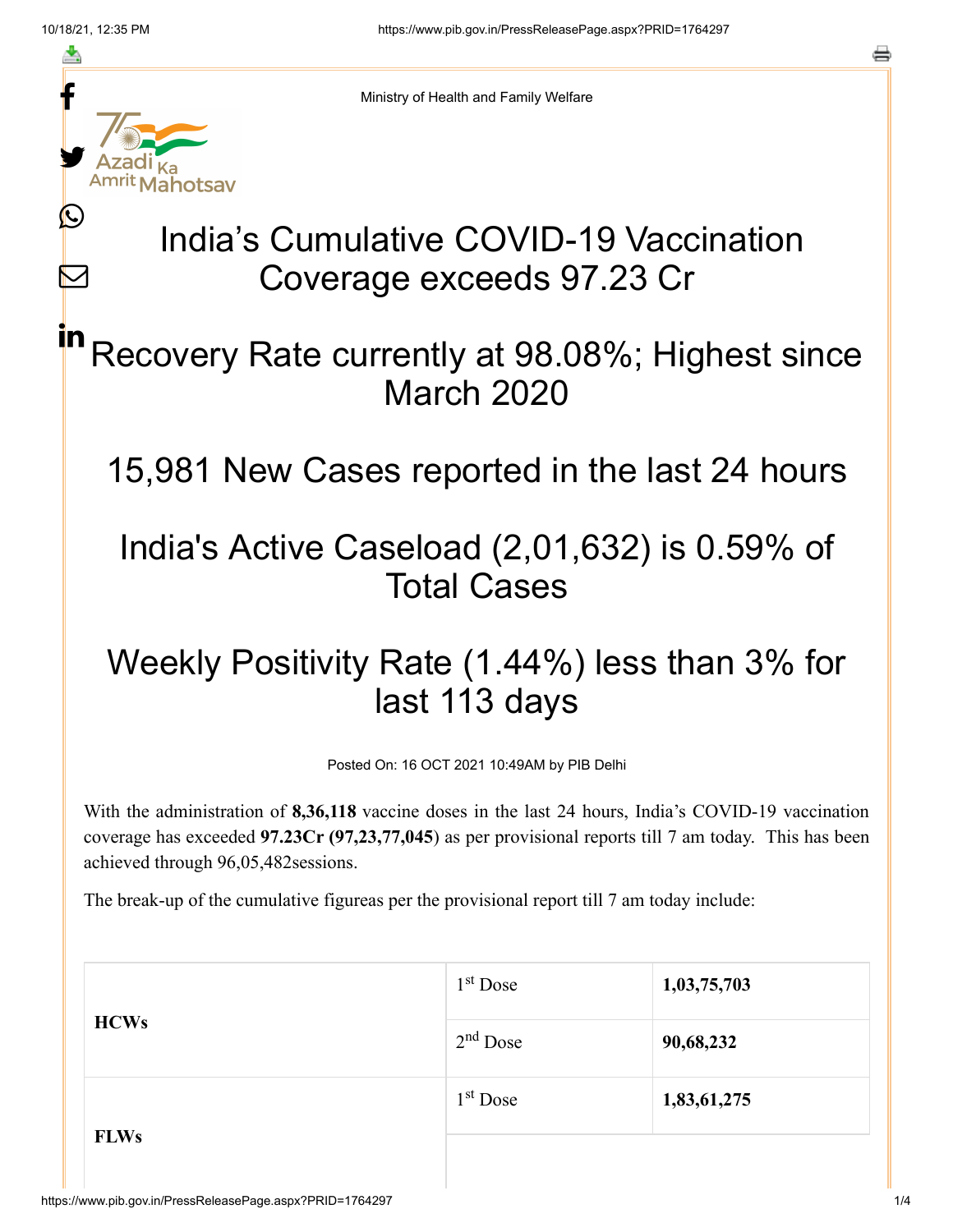≛

 $\bm{\nabla}$ 

in



Ministry of Health and Family Welfare

# India's Cumulative COVID-19 Vaccination Coverage exceeds 97.23 Cr

# Recovery Rate currently at 98.08%; Highest since March 2020

15,981 New Cases reported in the last 24 hours

### India's Active Caseload (2,01,632) is 0.59% of Total Cases

# Weekly Positivity Rate (1.44%) less than 3% for last 113 days

Posted On: 16 OCT 2021 10:49AM by PIB Delhi

With the administration of **8,36,118** vaccine doses in the last 24 hours, India's COVID-19 vaccination coverage has exceeded **97.23Cr (97,23,77,045**) as per provisional reports till 7 am today. This has been achieved through 96,05,482sessions.

The break-up of the cumulative figureas per the provisional report till 7 am today include:

|             | $1st$ Dose | 1,03,75,703 |
|-------------|------------|-------------|
| <b>HCWs</b> | $2nd$ Dose | 90,68,232   |
|             | $1st$ Dose | 1,83,61,275 |
| <b>FLWs</b> |            |             |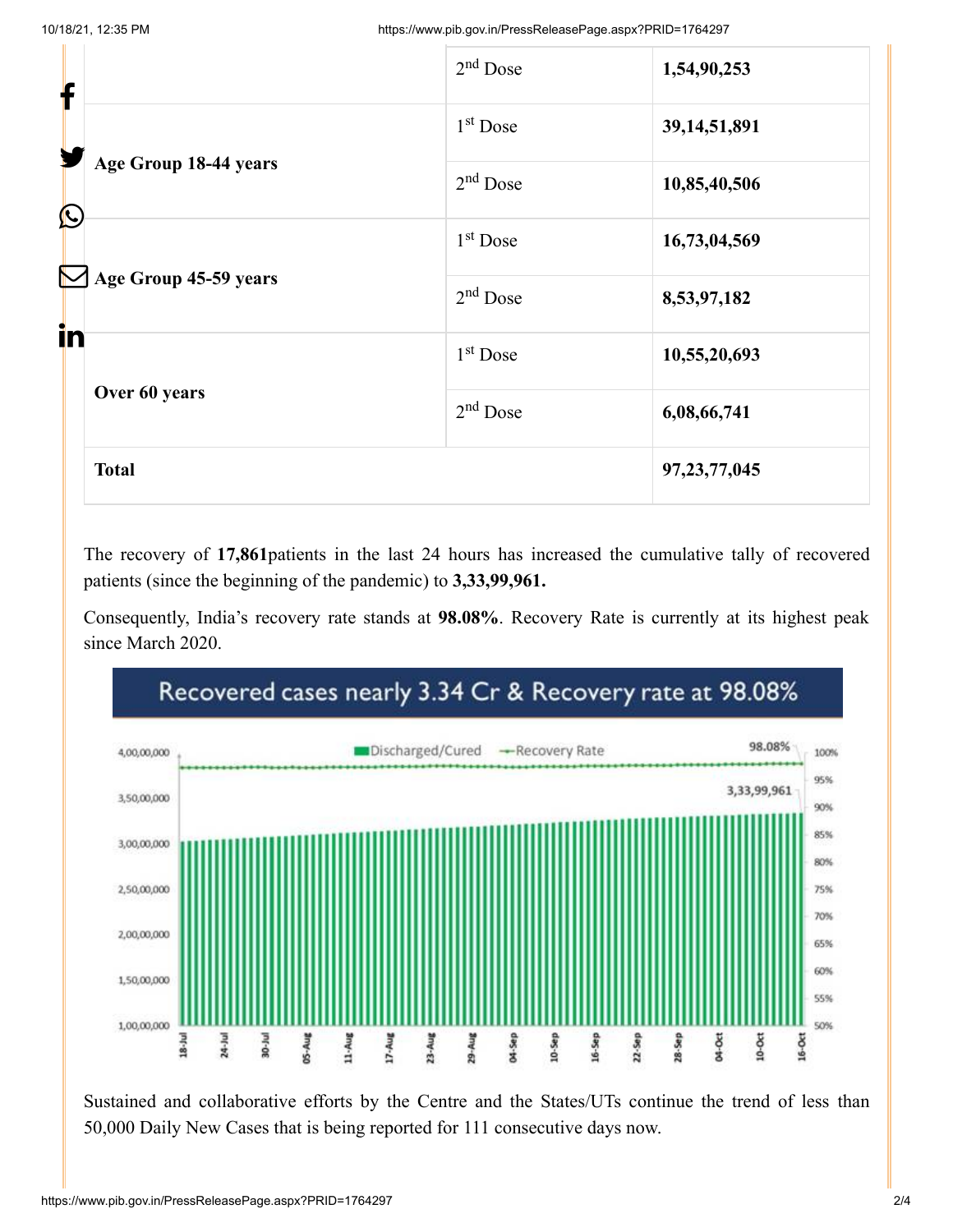| f  |                                                              | $2nd$ Dose           | 1,54,90,253     |
|----|--------------------------------------------------------------|----------------------|-----------------|
|    | Age Group 18-44 years<br>$\bigcirc$<br>Age Group 45-59 years | 1 <sup>st</sup> Dose | 39, 14, 51, 891 |
|    |                                                              | $2nd$ Dose           | 10,85,40,506    |
|    |                                                              | $1st$ Dose           | 16,73,04,569    |
|    |                                                              | $2nd$ Dose           | 8,53,97,182     |
| in |                                                              | 1 <sup>st</sup> Dose | 10,55,20,693    |
|    | Over 60 years                                                | $2nd$ Dose           | 6,08,66,741     |
|    | <b>Total</b>                                                 |                      | 97, 23, 77, 045 |
|    |                                                              |                      |                 |

The recovery of **17,861**patients in the last 24 hours has increased the cumulative tally of recovered patients (since the beginning of the pandemic) to **3,33,99,961.**

Consequently, India's recovery rate stands at **98.08%**. Recovery Rate is currently at its highest peak since March 2020.



Sustained and collaborative efforts by the Centre and the States/UTs continue the trend of less than 50,000 Daily New Cases that is being reported for 111 consecutive days now.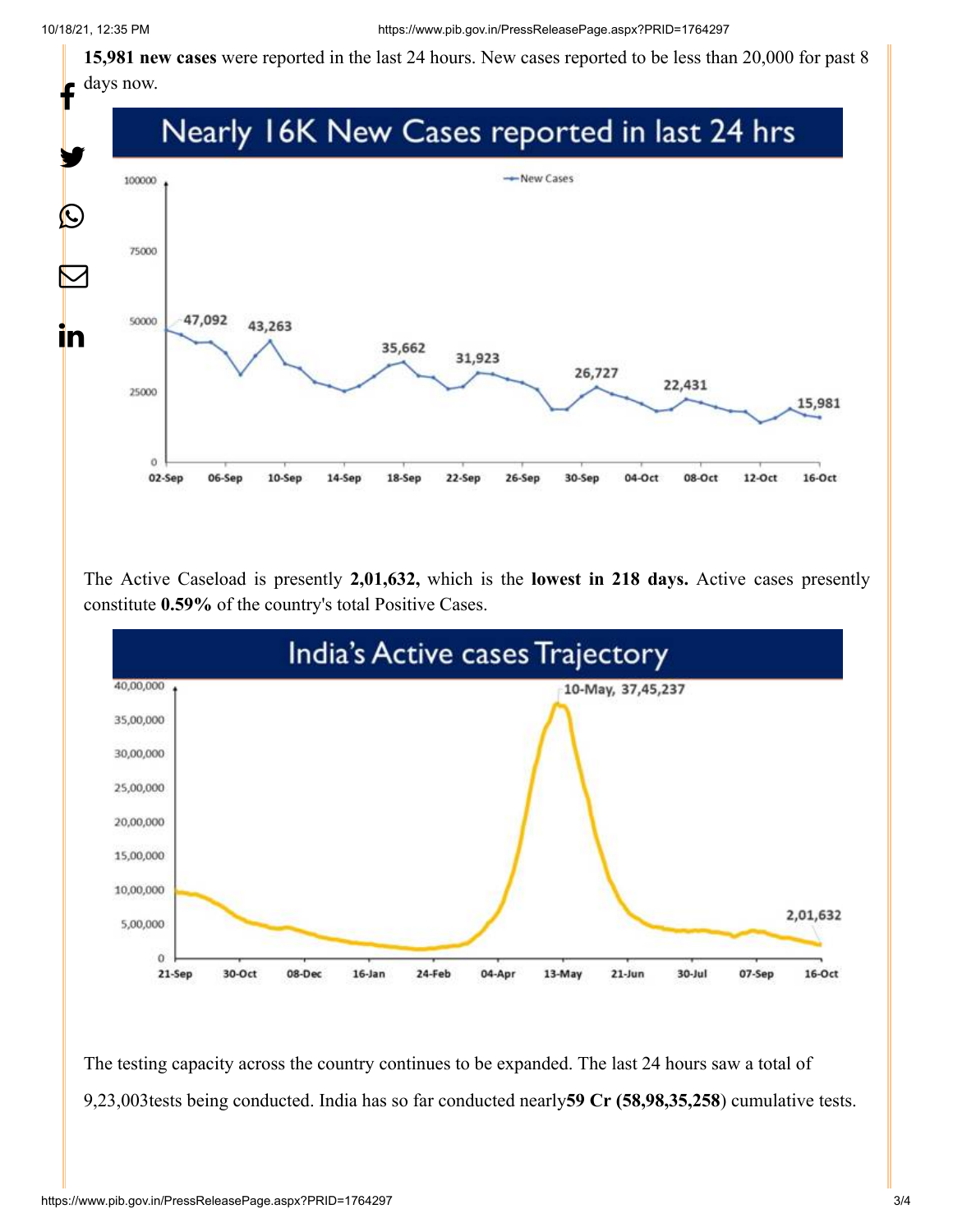**15,981 new cases** were reported in the last 24 hours. New cases reported to be less than 20,000 for past 8 days now.



The Active Caseload is presently **2,01,632,** which is the **lowest in 218 days.** Active cases presently constitute **0.59%** of the country's total Positive Cases.



The testing capacity across the country continues to be expanded. The last 24 hours saw a total of 9,23,003tests being conducted. India has so far conducted nearly**59 Cr (58,98,35,258**) cumulative tests.